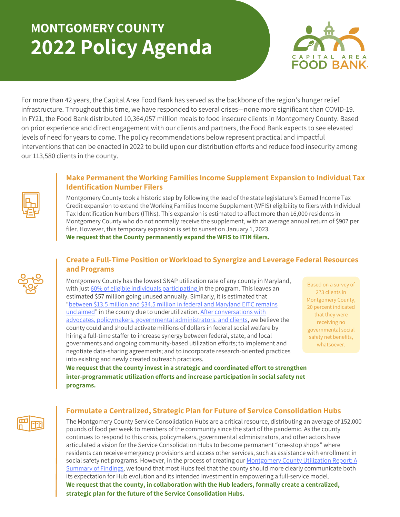# **MONTGOMERY COUNTY 2022 Policy Agenda**



For more than 42 years, the Capital Area Food Bank has served as the backbone of the region's hunger relief infrastructure. Throughout this time, we have responded to several crises—none more significant than COVID-19. In FY21, the Food Bank distributed 10,364,057 million meals to food insecure clients in Montgomery County. Based on prior experience and direct engagement with our clients and partners, the Food Bank expects to see elevated levels of need for years to come. The policy recommendations below represent practical and impactful interventions that can be enacted in 2022 to build upon our distribution efforts and reduce food insecurity among our 113,580 clients in the county.

# **Make Permanent the Working Families Income Supplement Expansion to Individual Tax Identification Number Filers**

Montgomery County took a historic step by following the lead of the state legislature's Earned Income Tax Credit expansion to extend the Working Families Income Supplement (WFIS) eligibility to filers with Individual Tax Identification Numbers (ITINs). This expansion is estimated to affect more than 16,000 residents in Montgomery County who do not normally receive the supplement, with an average annual return of \$907 per filer. However, this temporary expansion is set to sunset on January 1, 2023.

**We request that the County permanently expand the WFIS to ITIN filers.**

## **Create a Full-Time Position or Workload to Synergize and Leverage Federal Resources and Programs**

Montgomery County has the lowest SNAP utilization rate of any county in Maryland, with just 60% of eligible individuals [participating](https://hunger-report.capitalareafoodbank.org/) in the program. This leaves an estimated \$57 million going unused annually. Similarly, it is estimated that "between \$13.5 million and \$34.5 million in federal and Maryland EITC remains unclaimed" in the county due to [underutilization.](https://www.montgomerycountymd.gov/HHS-Program/Resources/Files/2020%20Faces%20of%20Poverty_July%202020.pdf) After conversations with advocates, policymakers, governmental administrators, and clients, we believe the county could and should activate millions of dollars in federal social welfare by hiring a full-time staffer to increase synergy between federal, state, and local governments and ongoing community-based utilization efforts; to implement and negotiate data-sharing agreements; and to incorporate research-oriented practices into existing and newly created outreach practices.

Based on a survey of 273 clients in Montgomery County, 20 percent indicated that they were receiving no governmental social safety net benefits, whatsoever.

**We request that the county invest in a strategic and coordinated effort to strengthen inter-programmatic utilization efforts and increase participation in social safety net programs.**



#### **Formulate a Centralized, Strategic Plan for Future of Service Consolidation Hubs**

The Montgomery County Service Consolidation Hubs are a critical resource, distributing an average of 152,000 pounds of food per week to members of the community since the start of the pandemic. As the county continues to respond to this crisis, policymakers, governmental administrators, and other actors have articulated a vision for the Service Consolidation Hubs to become permanent "one-stop shops" where residents can receive emergency provisions and access other services, such as assistance with enrollment in social safety net programs. However, in the process of creating our Montgomery County Utilization Report: A Summary of Findings, we found that most Hubs feel that the county should more clearly [communicate](https://www.capitalareafoodbank.org/wp-content/uploads/2022/01/Montgomery-County_Utilization-Report_A-Summary-of-Findings_10.22.2021.pdf) both its expectation for Hub evolution and its intended investment in empowering a full-service model. **We request that the county, in collaboration with the Hub leaders, formally create a centralized, strategic plan for the future of the Service Consolidation Hubs.**